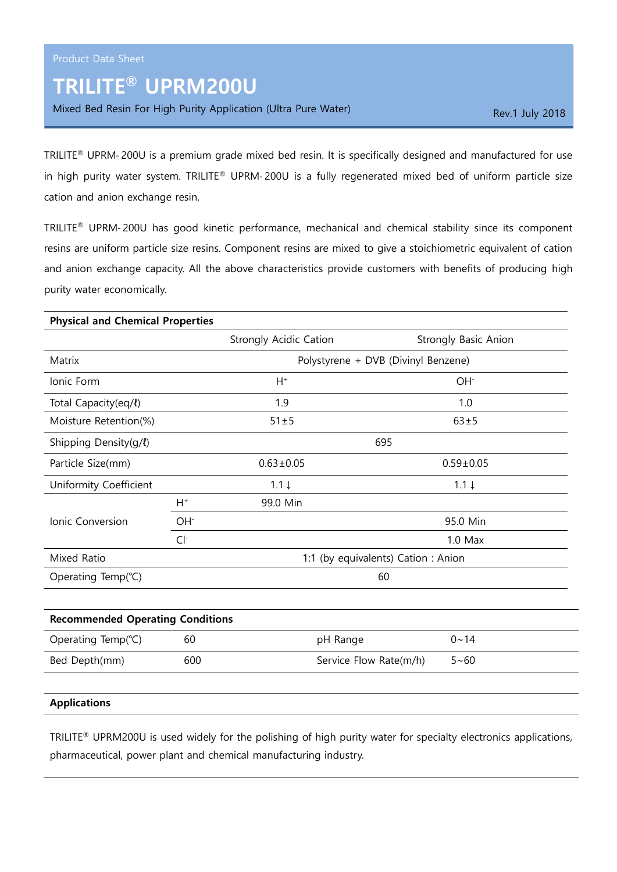# TRILITE® UPRM200U

Mixed Bed Resin For High Purity Application (Ultra Pure Water) Rev.1 July 2018

TRILITE® UPRM‐ 200U is a premium grade mixed bed resin. It is specifically designed and manufactured for use in high purity water system. TRILITE® UPRM-200U is a fully regenerated mixed bed of uniform particle size cation and anion exchange resin.

TRILITE® UPRM‐ 200U has good kinetic performance, mechanical and chemical stability since its component resins are uniform particle size resins. Component resins are mixed to give a stoichiometric equivalent of cation and anion exchange capacity. All the above characteristics provide customers with benefits of producing high purity water economically.

| <b>Physical and Chemical Properties</b> |                 |                                     |                             |  |
|-----------------------------------------|-----------------|-------------------------------------|-----------------------------|--|
|                                         |                 | <b>Strongly Acidic Cation</b>       | <b>Strongly Basic Anion</b> |  |
| Matrix                                  |                 | Polystyrene + DVB (Divinyl Benzene) |                             |  |
| Ionic Form                              |                 | $H^+$<br>OH <sup>-</sup>            |                             |  |
| Total Capacity(eq/l)                    |                 | 1.9                                 | 1.0                         |  |
| Moisture Retention(%)                   |                 | $51 \pm 5$                          | $63 + 5$                    |  |
| Shipping Density(g/l)                   |                 | 695                                 |                             |  |
| Particle Size(mm)                       |                 | $0.63 \pm 0.05$                     | $0.59 \pm 0.05$             |  |
| Uniformity Coefficient                  |                 | $1.1 \downarrow$                    | $1.1 \downarrow$            |  |
|                                         | H+              | 99.0 Min                            |                             |  |
| Ionic Conversion                        | OH <sup>-</sup> |                                     | 95.0 Min                    |  |
|                                         | $Cl^-$          |                                     | $1.0$ Max                   |  |
| Mixed Ratio                             |                 | 1:1 (by equivalents) Cation: Anion  |                             |  |
| Operating Temp(°C)                      |                 |                                     | 60                          |  |

| <b>Recommended Operating Conditions</b> |     |                        |             |  |
|-----------------------------------------|-----|------------------------|-------------|--|
| Operating Temp( $°C$ )                  | 60  | pH Range               | $0 \sim 14$ |  |
| Bed Depth(mm)                           | 600 | Service Flow Rate(m/h) | $5 - 60$    |  |

## Applications

TRILITE® UPRM200U is used widely for the polishing of high purity water for specialty electronics applications, pharmaceutical, power plant and chemical manufacturing industry.